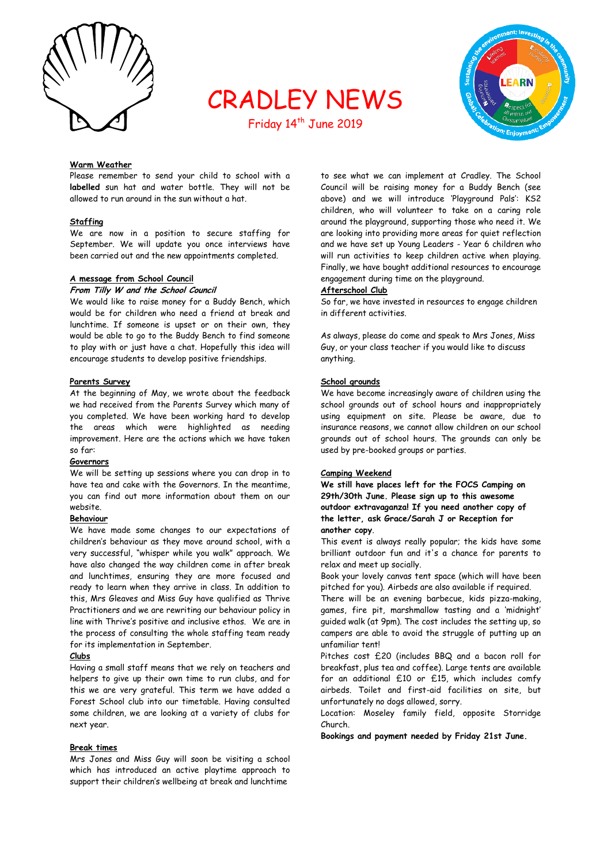

# CRADLEY NEWS



## Friday 14<sup>th</sup> June 2019

## **Warm Weather**

Please remember to send your child to school with a **labelled** sun hat and water bottle. They will not be allowed to run around in the sun without a hat.

## **Staffing**

We are now in a position to secure staffing for September. We will update you once interviews have been carried out and the new appointments completed.

## **A message from School Council**

## **From Tilly W and the School Council**

We would like to raise money for a Buddy Bench, which would be for children who need a friend at break and lunchtime. If someone is upset or on their own, they would be able to go to the Buddy Bench to find someone to play with or just have a chat. Hopefully this idea will encourage students to develop positive friendships.

#### **Parents Survey**

At the beginning of May, we wrote about the feedback we had received from the Parents Survey which many of you completed. We have been working hard to develop the areas which were highlighted as needing improvement. Here are the actions which we have taken so far:

#### **Governors**

We will be setting up sessions where you can drop in to have tea and cake with the Governors. In the meantime, you can find out more information about them on our website.

#### **Behaviour**

We have made some changes to our expectations of children's behaviour as they move around school, with a very successful, "whisper while you walk" approach. We have also changed the way children come in after break and lunchtimes, ensuring they are more focused and ready to learn when they arrive in class. In addition to this, Mrs Gleaves and Miss Guy have qualified as Thrive Practitioners and we are rewriting our behaviour policy in line with Thrive's positive and inclusive ethos. We are in the process of consulting the whole staffing team ready for its implementation in September.

## **Clubs**

Having a small staff means that we rely on teachers and helpers to give up their own time to run clubs, and for this we are very grateful. This term we have added a Forest School club into our timetable. Having consulted some children, we are looking at a variety of clubs for next year.

## **Break times**

Mrs Jones and Miss Guy will soon be visiting a school which has introduced an active playtime approach to support their children's wellbeing at break and lunchtime

to see what we can implement at Cradley. The School Council will be raising money for a Buddy Bench (see above) and we will introduce 'Playground Pals': KS2 children, who will volunteer to take on a caring role around the playground, supporting those who need it. We are looking into providing more areas for quiet reflection and we have set up Young Leaders - Year 6 children who will run activities to keep children active when playing. Finally, we have bought additional resources to encourage engagement during time on the playground.

#### **Afterschool Club**

So far, we have invested in resources to engage children in different activities.

As always, please do come and speak to Mrs Jones, Miss Guy, or your class teacher if you would like to discuss anything.

## **School grounds**

We have become increasingly aware of children using the school grounds out of school hours and inappropriately using equipment on site. Please be aware, due to insurance reasons, we cannot allow children on our school grounds out of school hours. The grounds can only be used by pre-booked groups or parties.

#### **Camping Weekend**

**We still have places left for the FOCS Camping on 29th/30th June. Please sign up to this awesome outdoor extravaganza! If you need another copy of the letter, ask Grace/Sarah J or Reception for another copy**.

This event is always really popular; the kids have some brilliant outdoor fun and it's a chance for parents to relax and meet up socially.

Book your lovely canvas tent space (which will have been pitched for you). Airbeds are also available if required.

There will be an evening barbecue, kids pizza-making, games, fire pit, marshmallow tasting and a 'midnight' guided walk (at 9pm). The cost includes the setting up, so campers are able to avoid the struggle of putting up an unfamiliar tent!

Pitches cost £20 (includes BBQ and a bacon roll for breakfast, plus tea and coffee). Large tents are available for an additional £10 or £15, which includes comfy airbeds. Toilet and first-aid facilities on site, but unfortunately no dogs allowed, sorry.

Location: Moseley family field, opposite Storridge Church.

**Bookings and payment needed by Friday 21st June.**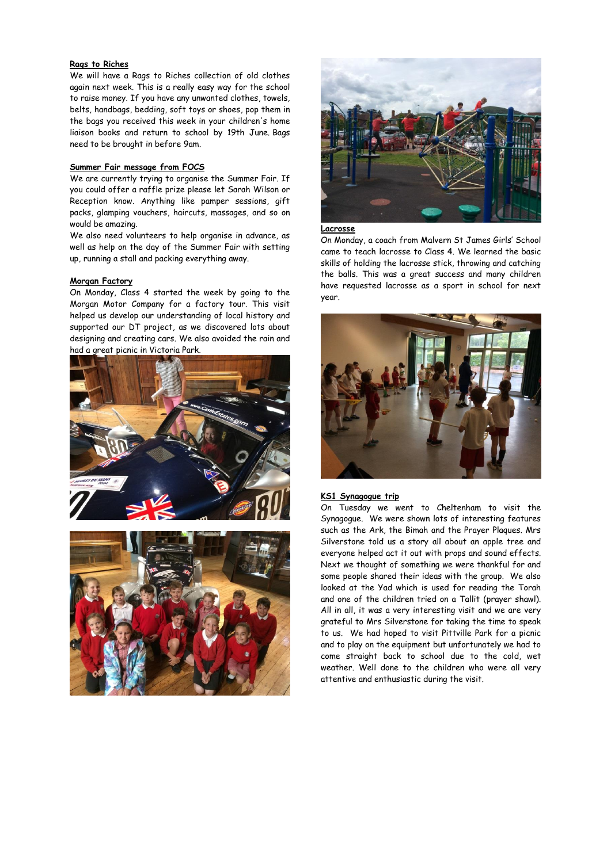## **Rags to Riches**

We will have a Rags to Riches collection of old clothes again next week. This is a really easy way for the school to raise money. If you have any unwanted clothes, towels, belts, handbags, bedding, soft toys or shoes, pop them in the bags you received this week in your children's home liaison books and return to school by 19th June. Bags need to be brought in before 9am.

#### **Summer Fair message from FOCS**

We are currently trying to organise the Summer Fair. If you could offer a raffle prize please let Sarah Wilson or Reception know. Anything like pamper sessions, gift packs, glamping vouchers, haircuts, massages, and so on would be amazing.

We also need volunteers to help organise in advance, as well as help on the day of the Summer Fair with setting up, running a stall and packing everything away.

#### **Morgan Factory**

On Monday, Class 4 started the week by going to the Morgan Motor Company for a factory tour. This visit helped us develop our understanding of local history and supported our DT project, as we discovered lots about designing and creating cars. We also avoided the rain and had a great picnic in Victoria Park.







**Lacrosse** 

On Monday, a coach from Malvern St James Girls' School came to teach lacrosse to Class 4. We learned the basic skills of holding the lacrosse stick, throwing and catching the balls. This was a great success and many children have requested lacrosse as a sport in school for next year.



## **KS1 Synagogue trip**

On Tuesday we went to Cheltenham to visit the Synagogue. We were shown lots of interesting features such as the Ark, the Bimah and the Prayer Plaques. Mrs Silverstone told us a story all about an apple tree and everyone helped act it out with props and sound effects. Next we thought of something we were thankful for and some people shared their ideas with the group. We also looked at the Yad which is used for reading the Torah and one of the children tried on a Tallit (prayer shawl). All in all, it was a very interesting visit and we are very grateful to Mrs Silverstone for taking the time to speak to us. We had hoped to visit Pittville Park for a picnic and to play on the equipment but unfortunately we had to come straight back to school due to the cold, wet weather. Well done to the children who were all very attentive and enthusiastic during the visit.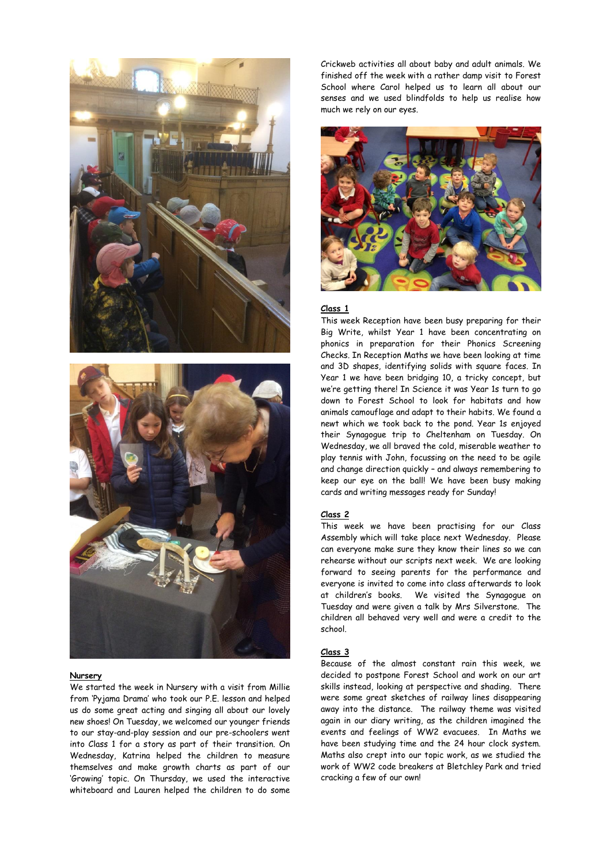



#### **Nursery**

We started the week in Nursery with a visit from Millie from 'Pyjama Drama' who took our P.E. lesson and helped us do some great acting and singing all about our lovely new shoes! On Tuesday, we welcomed our younger friends to our stay-and-play session and our pre-schoolers went into Class 1 for a story as part of their transition. On Wednesday, Katrina helped the children to measure themselves and make growth charts as part of our 'Growing' topic. On Thursday, we used the interactive whiteboard and Lauren helped the children to do some

Crickweb activities all about baby and adult animals. We finished off the week with a rather damp visit to Forest School where Carol helped us to learn all about our senses and we used blindfolds to help us realise how much we rely on our eyes.



## **Class 1**

This week Reception have been busy preparing for their Big Write, whilst Year 1 have been concentrating on phonics in preparation for their Phonics Screening Checks. In Reception Maths we have been looking at time and 3D shapes, identifying solids with square faces. In Year 1 we have been bridging 10, a tricky concept, but we're getting there! In Science it was Year 1s turn to go down to Forest School to look for habitats and how animals camouflage and adapt to their habits. We found a newt which we took back to the pond. Year 1s enjoyed their Synagogue trip to Cheltenham on Tuesday. On Wednesday, we all braved the cold, miserable weather to play tennis with John, focussing on the need to be agile and change direction quickly – and always remembering to keep our eye on the ball! We have been busy making cards and writing messages ready for Sunday!

## **Class 2**

This week we have been practising for our Class Assembly which will take place next Wednesday. Please can everyone make sure they know their lines so we can rehearse without our scripts next week. We are looking forward to seeing parents for the performance and everyone is invited to come into class afterwards to look at children's books. We visited the Synagogue on Tuesday and were given a talk by Mrs Silverstone. The children all behaved very well and were a credit to the school.

## **Class 3**

Because of the almost constant rain this week, we decided to postpone Forest School and work on our art skills instead, looking at perspective and shading. There were some great sketches of railway lines disappearing away into the distance. The railway theme was visited again in our diary writing, as the children imagined the events and feelings of WW2 evacuees. In Maths we have been studying time and the 24 hour clock system. Maths also crept into our topic work, as we studied the work of WW2 code breakers at Bletchley Park and tried cracking a few of our own!